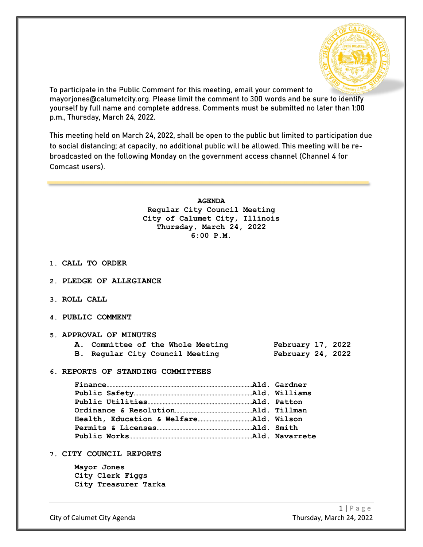

To participate in the Public Comment for this meeting, email your comment to mayorjones@calumetcity.org. Please limit the comment to 300 words and be sure to identify yourself by full name and complete address. Comments must be submitted no later than 1:00 p.m., Thursday, March 24, 2022.

This meeting held on March 24, 2022, shall be open to the public but limited to participation due to social distancing; at capacity, no additional public will be allowed. This meeting will be rebroadcasted on the following Monday on the government access channel (Channel 4 for Comcast users).

> **AGENDA Regular City Council Meeting City of Calumet City, Illinois Thursday, March 24, 2022 6:00 P.M.**

- **1. CALL TO ORDER**
- **2. PLEDGE OF ALLEGIANCE**
- **3. ROLL CALL**
- **4. PUBLIC COMMENT**

### **5. APPROVAL OF MINUTES**

|  | A. Committee of the Whole Meeting | February 17, 2022 |  |
|--|-----------------------------------|-------------------|--|
|  | B. Regular City Council Meeting   | February 24, 2022 |  |

**6. REPORTS OF STANDING COMMITTEES**

**7. CITY COUNCIL REPORTS**

**Mayor Jones City Clerk Figgs City Treasurer Tarka**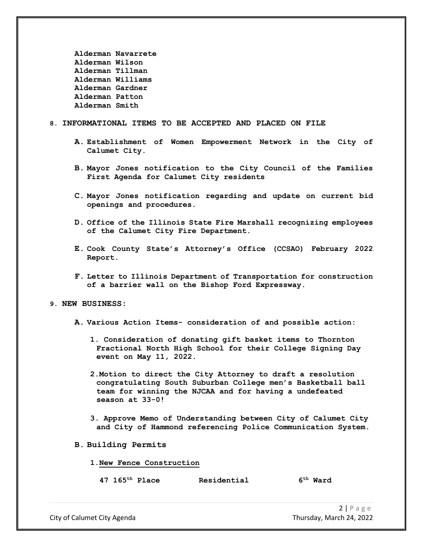```
Alderman Navarrete
Alderman Wilson
Alderman Tillman
Alderman Williams
Alderman Gardner
Alderman Patton
Alderman Smith
```
### **8. INFORMATIONAL ITEMS TO BE ACCEPTED AND PLACED ON FILE**

- **A. Establishment of Women Empowerment Network in the City of Calumet City.**
- **B. Mayor Jones notification to the City Council of the Families First Agenda for Calumet City residents**
- **C. Mayor Jones notification regarding and update on current bid openings and procedures.**
- **D. Office of the Illinois State Fire Marshall recognizing employees of the Calumet City Fire Department.**
- **E. Cook County State's Attorney's Office (CCSAO) February 2022 Report.**
- **F. Letter to Illinois Department of Transportation for construction of a barrier wall on the Bishop Ford Expressway.**

#### **9. NEW BUSINESS:**

- **A. Various Action Items- consideration of and possible action:**
	- **1. Consideration of donating gift basket items to Thornton Fractional North High School for their College Signing Day event on May 11, 2022.**
	- **2.Motion to direct the City Attorney to draft a resolution congratulating South Suburban College men's Basketball ball team for winning the NJCAA and for having a undefeated season at 33-0!**
	- **3. Approve Memo of Understanding between City of Calumet City and City of Hammond referencing Police Communication System.**
- **B. Building Permits**

#### **1.New Fence Construction**

**47 165th Place Residential 6th Ward** 

City of Calumet City Agenda Thursday, March 24, 2022

 $2 | P \text{age}$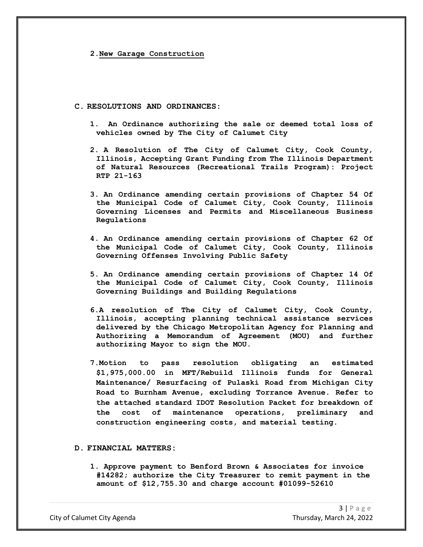**2.New Garage Construction**

### **C. RESOLUTIONS AND ORDINANCES:**

- **1. An Ordinance authorizing the sale or deemed total loss of vehicles owned by The City of Calumet City**
- **2. A Resolution of The City of Calumet City, Cook County, Illinois, Accepting Grant Funding from The Illinois Department of Natural Resources (Recreational Trails Program): Project RTP 21-163**
- **3. An Ordinance amending certain provisions of Chapter 54 Of the Municipal Code of Calumet City, Cook County, Illinois Governing Licenses and Permits and Miscellaneous Business Regulations**
- **4. An Ordinance amending certain provisions of Chapter 62 Of the Municipal Code of Calumet City, Cook County, Illinois Governing Offenses Involving Public Safety**
- **5. An Ordinance amending certain provisions of Chapter 14 Of the Municipal Code of Calumet City, Cook County, Illinois Governing Buildings and Building Regulations**
- **6.A resolution of The City of Calumet City, Cook County, Illinois, accepting planning technical assistance services delivered by the Chicago Metropolitan Agency for Planning and Authorizing a Memorandum of Agreement (MOU) and further authorizing Mayor to sign the MOU.**
- **7.Motion to pass resolution obligating an estimated \$1,975,000.00 in MFT/Rebuild Illinois funds for General Maintenance/ Resurfacing of Pulaski Road from Michigan City Road to Burnham Avenue, excluding Torrance Avenue. Refer to the attached standard IDOT Resolution Packet for breakdown of the cost of maintenance operations, preliminary and construction engineering costs, and material testing.**

## **D. FINANCIAL MATTERS:**

**1. Approve payment to Benford Brown & Associates for invoice #14282; authorize the City Treasurer to remit payment in the amount of \$12,755.30 and charge account #01099-52610**

City of Calumet City Agenda Thursday, March 24, 2022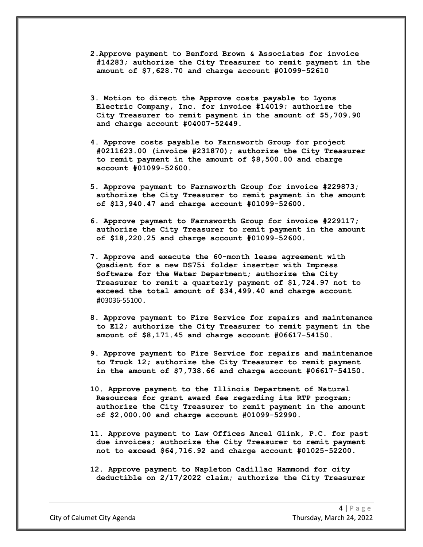- **2.Approve payment to Benford Brown & Associates for invoice #14283; authorize the City Treasurer to remit payment in the amount of \$7,628.70 and charge account #01099-52610**
- **3. Motion to direct the Approve costs payable to Lyons Electric Company, Inc. for invoice #14019; authorize the City Treasurer to remit payment in the amount of \$5,709.90 and charge account #04007-52449.**
- **4. Approve costs payable to Farnsworth Group for project #0211623.00 (invoice #231870); authorize the City Treasurer to remit payment in the amount of \$8,500.00 and charge account #01099-52600.**
- **5. Approve payment to Farnsworth Group for invoice #229873; authorize the City Treasurer to remit payment in the amount of \$13,940.47 and charge account #01099-52600.**
- **6. Approve payment to Farnsworth Group for invoice #229117; authorize the City Treasurer to remit payment in the amount of \$18,220.25 and charge account #01099-52600.**
- **7. Approve and execute the 60-month lease agreement with Quadient for a new DS75i folder inserter with Impress Software for the Water Department; authorize the City Treasurer to remit a quarterly payment of \$1,724.97 not to exceed the total amount of \$34,499.40 and charge account #**03036-55100**.**
- **8. Approve payment to Fire Service for repairs and maintenance to E12; authorize the City Treasurer to remit payment in the amount of \$8,171.45 and charge account #06617-54150.**
- **9. Approve payment to Fire Service for repairs and maintenance to Truck 12; authorize the City Treasurer to remit payment in the amount of \$7,738.66 and charge account #06617-54150.**
- **10. Approve payment to the Illinois Department of Natural Resources for grant award fee regarding its RTP program; authorize the City Treasurer to remit payment in the amount of \$2,000.00 and charge account #01099-52990.**
- **11. Approve payment to Law Offices Ancel Glink, P.C. for past due invoices; authorize the City Treasurer to remit payment not to exceed \$64,716.92 and charge account #01025-52200.**
- **12. Approve payment to Napleton Cadillac Hammond for city deductible on 2/17/2022 claim; authorize the City Treasurer**

City of Calumet City Agenda Thursday, March 24, 2022